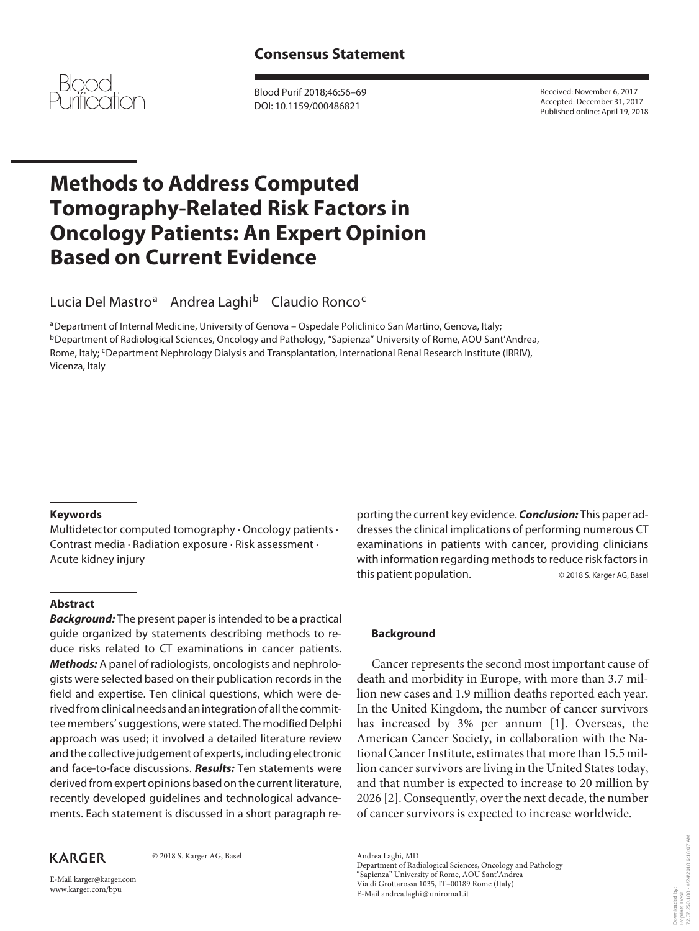

Blood Purif 2018;46:56–69 DOI: 10.1159/000486821

Received: November 6, 2017 Accepted: December 31, 2017 Published online: April 19, 2018

# **Methods to Address Computed Tomography-Related Risk Factors in Oncology Patients: An Expert Opinion Based on Current Evidence**

Lucia Del Mastro<sup>a</sup> Andrea Laghi<sup>b</sup> Claudio Ronco<sup>c</sup>

aDepartment of Internal Medicine, University of Genova – Ospedale Policlinico San Martino, Genova, Italy; bDepartment of Radiological Sciences, Oncology and Pathology, "Sapienza" University of Rome, AOU Sant'Andrea, Rome, Italy; <sup>c</sup>Department Nephrology Dialysis and Transplantation, International Renal Research Institute (IRRIV), Vicenza, Italy

# **Keywords**

Multidetector computed tomography · Oncology patients · Contrast media · Radiation exposure · Risk assessment · Acute kidney injury

# **Abstract**

*Background:* The present paper is intended to be a practical guide organized by statements describing methods to reduce risks related to CT examinations in cancer patients. *Methods:* A panel of radiologists, oncologists and nephrologists were selected based on their publication records in the field and expertise. Ten clinical questions, which were derived from clinical needs and an integration of all the committee members' suggestions, were stated. The modified Delphi approach was used; it involved a detailed literature review and the collective judgement of experts, including electronic and face-to-face discussions. *Results:* Ten statements were derived from expert opinions based on the current literature, recently developed guidelines and technological advancements. Each statement is discussed in a short paragraph re-

# **KARGER**

© 2018 S. Karger AG, Basel

porting the current key evidence. *Conclusion:* This paper addresses the clinical implications of performing numerous CT examinations in patients with cancer, providing clinicians with information regarding methods to reduce risk factors in this patient population. © 2018 S. Karger AG, Basel

# **Background**

Cancer represents the second most important cause of death and morbidity in Europe, with more than 3.7 million new cases and 1.9 million deaths reported each year. In the United Kingdom, the number of cancer survivors has increased by 3% per annum [1]. Overseas, the American Cancer Society, in collaboration with the National Cancer Institute, estimates that more than 15.5 million cancer survivors are living in the United States today, and that number is expected to increase to 20 million by 2026 [2]. Consequently, over the next decade, the number of cancer survivors is expected to increase worldwide.

Andrea Laghi, MD Department of Radiological Sciences, Oncology and Pathology "Sapienza" University of Rome, AOU Sant'Andrea Via di Grottarossa 1035, IT–00189 Rome (Italy) E-Mail andrea.laghi@uniroma1.it

E-Mail karger@karger.com www.karger.com/bpu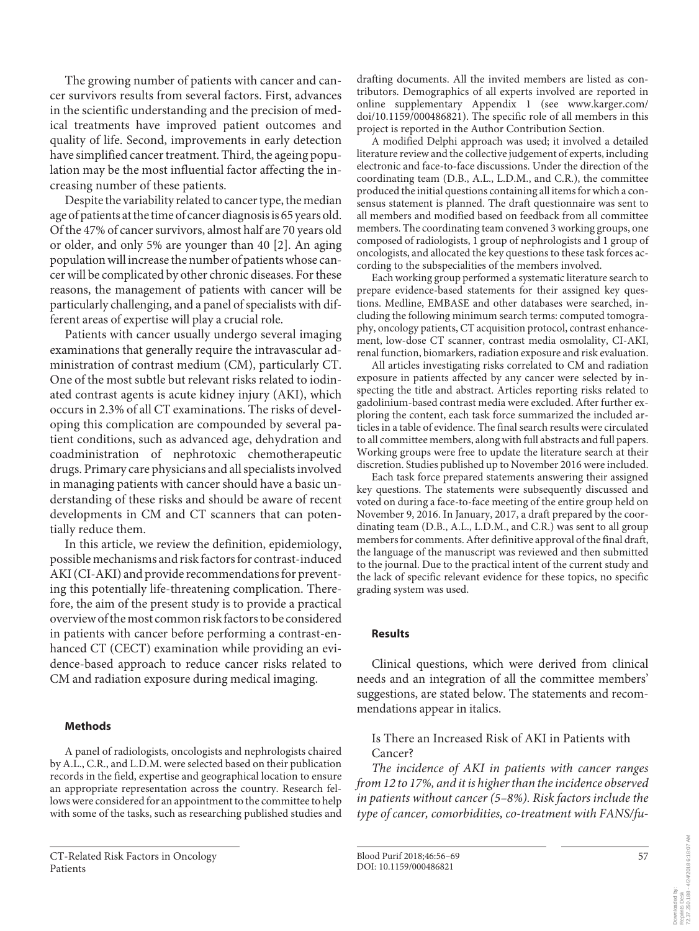The growing number of patients with cancer and cancer survivors results from several factors. First, advances in the scientific understanding and the precision of medical treatments have improved patient outcomes and quality of life. Second, improvements in early detection have simplified cancer treatment. Third, the ageing population may be the most influential factor affecting the increasing number of these patients.

Despite the variability related to cancer type, the median age of patients at the time of cancer diagnosis is 65 years old. Of the 47% of cancer survivors, almost half are 70 years old or older, and only 5% are younger than 40 [2]. An aging population will increase the number of patients whose cancer will be complicated by other chronic diseases. For these reasons, the management of patients with cancer will be particularly challenging, and a panel of specialists with different areas of expertise will play a crucial role.

Patients with cancer usually undergo several imaging examinations that generally require the intravascular administration of contrast medium (CM), particularly CT. One of the most subtle but relevant risks related to iodinated contrast agents is acute kidney injury (AKI), which occurs in 2.3% of all CT examinations. The risks of developing this complication are compounded by several patient conditions, such as advanced age, dehydration and coadministration of nephrotoxic chemotherapeutic drugs. Primary care physicians and all specialists involved in managing patients with cancer should have a basic understanding of these risks and should be aware of recent developments in CM and CT scanners that can potentially reduce them.

In this article, we review the definition, epidemiology, possible mechanisms and risk factors for contrast-induced AKI (CI-AKI) and provide recommendations for preventing this potentially life-threatening complication. Therefore, the aim of the present study is to provide a practical overview of the most common risk factors to be considered in patients with cancer before performing a contrast-enhanced CT (CECT) examination while providing an evidence-based approach to reduce cancer risks related to CM and radiation exposure during medical imaging.

## **Methods**

A panel of radiologists, oncologists and nephrologists chaired by A.L., C.R., and L.D.M. were selected based on their publication records in the field, expertise and geographical location to ensure an appropriate representation across the country. Research fellows were considered for an appointment to the committee to help with some of the tasks, such as researching published studies and drafting documents. All the invited members are listed as contributors. Demographics of all experts involved are reported in online supplementary Appendix 1 (see www.karger.com/ doi/10.1159/000486821). The specific role of all members in this project is reported in the Author Contribution Section.

A modified Delphi approach was used; it involved a detailed literature review and the collective judgement of experts, including electronic and face-to-face discussions. Under the direction of the coordinating team (D.B., A.L., L.D.M., and C.R.), the committee produced the initial questions containing all items for which a consensus statement is planned. The draft questionnaire was sent to all members and modified based on feedback from all committee members. The coordinating team convened 3 working groups, one composed of radiologists, 1 group of nephrologists and 1 group of oncologists, and allocated the key questions to these task forces according to the subspecialities of the members involved.

Each working group performed a systematic literature search to prepare evidence-based statements for their assigned key questions. Medline, EMBASE and other databases were searched, including the following minimum search terms: computed tomography, oncology patients, CT acquisition protocol, contrast enhancement, low-dose CT scanner, contrast media osmolality, CI-AKI, renal function, biomarkers, radiation exposure and risk evaluation.

All articles investigating risks correlated to CM and radiation exposure in patients affected by any cancer were selected by inspecting the title and abstract. Articles reporting risks related to gadolinium-based contrast media were excluded. After further exploring the content, each task force summarized the included articles in a table of evidence. The final search results were circulated to all committee members, along with full abstracts and full papers. Working groups were free to update the literature search at their discretion. Studies published up to November 2016 were included.

Each task force prepared statements answering their assigned key questions. The statements were subsequently discussed and voted on during a face-to-face meeting of the entire group held on November 9, 2016. In January, 2017, a draft prepared by the coordinating team (D.B., A.L., L.D.M., and C.R.) was sent to all group members for comments. After definitive approval of the final draft, the language of the manuscript was reviewed and then submitted to the journal. Due to the practical intent of the current study and the lack of specific relevant evidence for these topics, no specific grading system was used.

## **Results**

Clinical questions, which were derived from clinical needs and an integration of all the committee members' suggestions, are stated below. The statements and recommendations appear in italics.

# Is There an Increased Risk of AKI in Patients with Cancer?

*The incidence of AKI in patients with cancer ranges from 12 to 17%, and it is higher than the incidence observed in patients without cancer (5–8%). Risk factors include the type of cancer, comorbidities, co-treatment with FANS/fu-*

Downloaded by:<br>Reprints Desk<br>72.37.250.188 - 4/24/2018 6:18:07 AM Downloaded by: Reprints Desk

72.37.250.188 - 4/24/2018 6:18:07 AM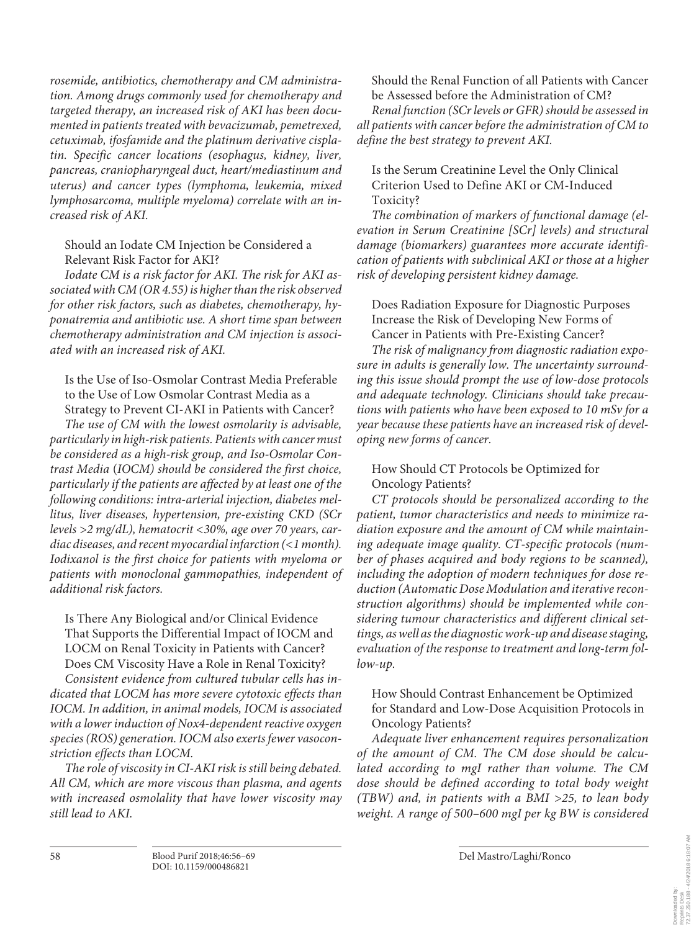*rosemide, antibiotics, chemotherapy and CM administration. Among drugs commonly used for chemotherapy and targeted therapy, an increased risk of AKI has been documented in patients treated with bevacizumab, pemetrexed, cetuximab, ifosfamide and the platinum derivative cisplatin. Specific cancer locations (esophagus, kidney, liver, pancreas, craniopharyngeal duct, heart/mediastinum and uterus) and cancer types (lymphoma, leukemia, mixed lymphosarcoma, multiple myeloma) correlate with an increased risk of AKI.*

Should an Iodate CM Injection be Considered a Relevant Risk Factor for AKI?

*Iodate CM is a risk factor for AKI. The risk for AKI associated with CM (OR 4.55) is higher than the risk observed for other risk factors, such as diabetes, chemotherapy, hyponatremia and antibiotic use. A short time span between chemotherapy administration and CM injection is associated with an increased risk of AKI.*

Is the Use of Iso-Osmolar Contrast Media Preferable to the Use of Low Osmolar Contrast Media as a Strategy to Prevent CI-AKI in Patients with Cancer?

*The use of CM with the lowest osmolarity is advisable, particularly in high-risk patients. Patients with cancer must be considered as a high-risk group, and Iso-Osmolar Contrast Media* (*IOCM) should be considered the first choice, particularly if the patients are affected by at least one of the following conditions: intra-arterial injection, diabetes mellitus, liver diseases, hypertension, pre-existing CKD (SCr levels >2 mg/dL), hematocrit <30%, age over 70 years, cardiac diseases, and recent myocardial infarction (<1 month). Iodixanol is the first choice for patients with myeloma or patients with monoclonal gammopathies, independent of additional risk factors.*

Is There Any Biological and/or Clinical Evidence That Supports the Differential Impact of IOCM and LOCM on Renal Toxicity in Patients with Cancer? Does CM Viscosity Have a Role in Renal Toxicity?

*Consistent evidence from cultured tubular cells has indicated that LOCM has more severe cytotoxic effects than IOCM. In addition, in animal models, IOCM is associated with a lower induction of Nox4-dependent reactive oxygen species (ROS) generation. IOCM also exerts fewer vasoconstriction effects than LOCM.*

*The role of viscosity in CI-AKI risk is still being debated. All CM, which are more viscous than plasma, and agents with increased osmolality that have lower viscosity may still lead to AKI.*

Should the Renal Function of all Patients with Cancer be Assessed before the Administration of CM? *Renal function (SCr levels or GFR) should be assessed in all patients with cancer before the administration of CM to define the best strategy to prevent AKI.*

Is the Serum Creatinine Level the Only Clinical Criterion Used to Define AKI or CM-Induced Toxicity?

*The combination of markers of functional damage (elevation in Serum Creatinine [SCr] levels) and structural damage (biomarkers) guarantees more accurate identification of patients with subclinical AKI or those at a higher risk of developing persistent kidney damage.*

Does Radiation Exposure for Diagnostic Purposes Increase the Risk of Developing New Forms of Cancer in Patients with Pre-Existing Cancer?

*The risk of malignancy from diagnostic radiation exposure in adults is generally low. The uncertainty surrounding this issue should prompt the use of low-dose protocols and adequate technology. Clinicians should take precautions with patients who have been exposed to 10 mSv for a year because these patients have an increased risk of developing new forms of cancer.*

# How Should CT Protocols be Optimized for Oncology Patients?

*CT protocols should be personalized according to the patient, tumor characteristics and needs to minimize radiation exposure and the amount of CM while maintaining adequate image quality. CT-specific protocols (number of phases acquired and body regions to be scanned), including the adoption of modern techniques for dose reduction (Automatic Dose Modulation and iterative reconstruction algorithms) should be implemented while considering tumour characteristics and different clinical settings, as well as the diagnostic work-up and disease staging, evaluation of the response to treatment and long-term follow-up.*

# How Should Contrast Enhancement be Optimized for Standard and Low-Dose Acquisition Protocols in Oncology Patients?

*Adequate liver enhancement requires personalization of the amount of CM. The CM dose should be calculated according to mgI rather than volume. The CM dose should be defined according to total body weight (TBW) and, in patients with a BMI >25, to lean body weight. A range of 500–600 mgI per kg BW is considered*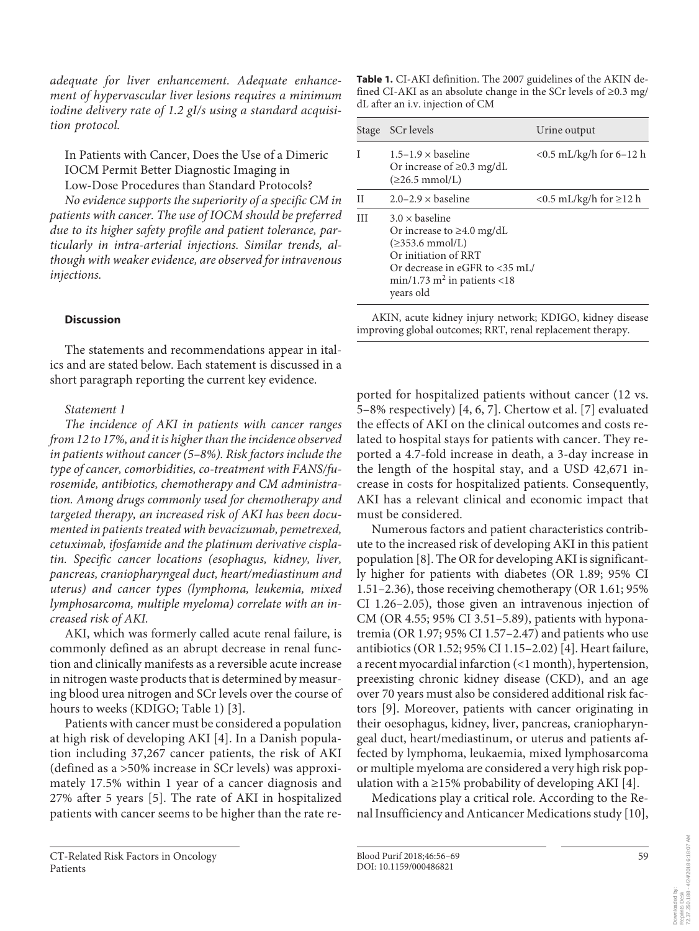*adequate for liver enhancement. Adequate enhancement of hypervascular liver lesions requires a minimum iodine delivery rate of 1.2 gI/s using a standard acquisition protocol.*

In Patients with Cancer, Does the Use of a Dimeric IOCM Permit Better Diagnostic Imaging in Low-Dose Procedures than Standard Protocols?

*No evidence supports the superiority of a specific CM in patients with cancer. The use of IOCM should be preferred due to its higher safety profile and patient tolerance, particularly in intra-arterial injections. Similar trends, although with weaker evidence, are observed for intravenous injections.*

## **Discussion**

The statements and recommendations appear in italics and are stated below. Each statement is discussed in a short paragraph reporting the current key evidence.

# *Statement 1*

*The incidence of AKI in patients with cancer ranges from 12 to 17%, and it is higher than the incidence observed in patients without cancer (5–8%). Risk factors include the type of cancer, comorbidities, co-treatment with FANS/furosemide, antibiotics, chemotherapy and CM administration. Among drugs commonly used for chemotherapy and targeted therapy, an increased risk of AKI has been documented in patients treated with bevacizumab, pemetrexed, cetuximab, ifosfamide and the platinum derivative cisplatin. Specific cancer locations (esophagus, kidney, liver, pancreas, craniopharyngeal duct, heart/mediastinum and uterus) and cancer types (lymphoma, leukemia, mixed lymphosarcoma, multiple myeloma) correlate with an increased risk of AKI.*

AKI, which was formerly called acute renal failure, is commonly defined as an abrupt decrease in renal function and clinically manifests as a reversible acute increase in nitrogen waste products that is determined by measuring blood urea nitrogen and SCr levels over the course of hours to weeks (KDIGO; Table 1) [3].

Patients with cancer must be considered a population at high risk of developing AKI [4]. In a Danish population including 37,267 cancer patients, the risk of AKI (defined as a >50% increase in SCr levels) was approximately 17.5% within 1 year of a cancer diagnosis and 27% after 5 years [5]. The rate of AKI in hospitalized patients with cancer seems to be higher than the rate re**Table 1.** CI-AKI definition. The 2007 guidelines of the AKIN defined CI-AKI as an absolute change in the SCr levels of  $\geq$ 0.3 mg/ dL after an i.v. injection of CM

| Stage | SCr levels                                                                                                                                                                                               | Urine output                    |
|-------|----------------------------------------------------------------------------------------------------------------------------------------------------------------------------------------------------------|---------------------------------|
|       | $1.5-1.9 \times$ baseline<br>Or increase of $\geq 0.3$ mg/dL<br>$(\geq 26.5 \text{ mmol/L})$                                                                                                             | $< 0.5$ mL/kg/h for 6-12 h      |
| H     | $2.0 - 2.9 \times$ baseline                                                                                                                                                                              | $<$ 0.5 mL/kg/h for $\geq$ 12 h |
| Ш     | $3.0 \times$ baseline<br>Or increase to $\geq 4.0$ mg/dL<br>$(\geq 353.6$ mmol/L)<br>Or initiation of RRT<br>Or decrease in eGFR to $<$ 35 mL/<br>$min/1.73$ m <sup>2</sup> in patients <18<br>vears old |                                 |

AKIN, acute kidney injury network; KDIGO, kidney disease improving global outcomes; RRT, renal replacement therapy.

ported for hospitalized patients without cancer (12 vs. 5–8% respectively) [4, 6, 7]. Chertow et al. [7] evaluated the effects of AKI on the clinical outcomes and costs related to hospital stays for patients with cancer. They reported a 4.7-fold increase in death, a 3-day increase in the length of the hospital stay, and a USD 42,671 increase in costs for hospitalized patients. Consequently, AKI has a relevant clinical and economic impact that must be considered.

Numerous factors and patient characteristics contribute to the increased risk of developing AKI in this patient population [8]. The OR for developing AKI is significantly higher for patients with diabetes (OR 1.89; 95% CI 1.51–2.36), those receiving chemotherapy (OR 1.61; 95% CI 1.26–2.05), those given an intravenous injection of CM (OR 4.55; 95% CI 3.51–5.89), patients with hyponatremia (OR 1.97; 95% CI 1.57–2.47) and patients who use antibiotics (OR 1.52; 95% CI 1.15–2.02) [4]. Heart failure, a recent myocardial infarction (<1 month), hypertension, preexisting chronic kidney disease (CKD), and an age over 70 years must also be considered additional risk factors [9]. Moreover, patients with cancer originating in their oesophagus, kidney, liver, pancreas, craniopharyngeal duct, heart/mediastinum, or uterus and patients affected by lymphoma, leukaemia, mixed lymphosarcoma or multiple myeloma are considered a very high risk population with a  $\geq$ 15% probability of developing AKI [4].

Medications play a critical role. According to the Renal Insufficiency and Anticancer Medications study [10],

Downloaded by: Reprints Desk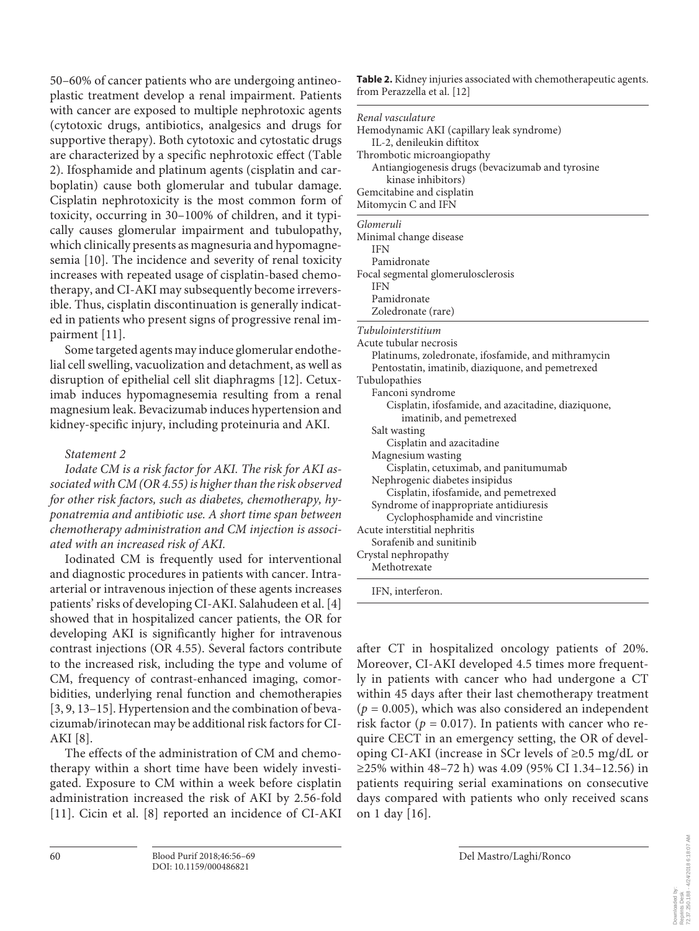50–60% of cancer patients who are undergoing antineoplastic treatment develop a renal impairment. Patients with cancer are exposed to multiple nephrotoxic agents (cytotoxic drugs, antibiotics, analgesics and drugs for supportive therapy). Both cytotoxic and cytostatic drugs are characterized by a specific nephrotoxic effect (Table 2). Ifosphamide and platinum agents (cisplatin and carboplatin) cause both glomerular and tubular damage. Cisplatin nephrotoxicity is the most common form of toxicity, occurring in 30–100% of children, and it typically causes glomerular impairment and tubulopathy, which clinically presents as magnesuria and hypomagnesemia [10]. The incidence and severity of renal toxicity increases with repeated usage of cisplatin-based chemotherapy, and CI-AKI may subsequently become irreversible. Thus, cisplatin discontinuation is generally indicated in patients who present signs of progressive renal impairment [11].

Some targeted agents may induce glomerular endothelial cell swelling, vacuolization and detachment, as well as disruption of epithelial cell slit diaphragms [12]. Cetuximab induces hypomagnesemia resulting from a renal magnesium leak. Bevacizumab induces hypertension and kidney-specific injury, including proteinuria and AKI.

# *Statement 2*

*Iodate CM is a risk factor for AKI. The risk for AKI associated with CM (OR 4.55) is higher than the risk observed for other risk factors, such as diabetes, chemotherapy, hyponatremia and antibiotic use. A short time span between chemotherapy administration and CM injection is associated with an increased risk of AKI.*

Iodinated CM is frequently used for interventional and diagnostic procedures in patients with cancer. Intraarterial or intravenous injection of these agents increases patients' risks of developing CI-AKI. Salahudeen et al. [4] showed that in hospitalized cancer patients, the OR for developing AKI is significantly higher for intravenous contrast injections (OR 4.55). Several factors contribute to the increased risk, including the type and volume of CM, frequency of contrast-enhanced imaging, comorbidities, underlying renal function and chemotherapies [3, 9, 13–15]. Hypertension and the combination of bevacizumab/irinotecan may be additional risk factors for CI-AKI [8].

The effects of the administration of CM and chemotherapy within a short time have been widely investigated. Exposure to CM within a week before cisplatin administration increased the risk of AKI by 2.56-fold [11]. Cicin et al. [8] reported an incidence of CI-AKI **Table 2.** Kidney injuries associated with chemotherapeutic agents. from Perazzella et al. [12]

| Renal vasculature<br>Hemodynamic AKI (capillary leak syndrome)<br>IL-2, denileukin diftitox<br>Thrombotic microangiopathy<br>Antiangiogenesis drugs (bevacizumab and tyrosine<br>kinase inhibitors)<br>Gemcitabine and cisplatin<br>Mitomycin C and IFN                                                                                                                                                                                                                                                                                                                                                                                                |
|--------------------------------------------------------------------------------------------------------------------------------------------------------------------------------------------------------------------------------------------------------------------------------------------------------------------------------------------------------------------------------------------------------------------------------------------------------------------------------------------------------------------------------------------------------------------------------------------------------------------------------------------------------|
| Glomeruli<br>Minimal change disease<br><b>IFN</b><br>Pamidronate<br>Focal segmental glomerulosclerosis<br><b>IFN</b><br>Pamidronate<br>Zoledronate (rare)                                                                                                                                                                                                                                                                                                                                                                                                                                                                                              |
| Tubulointerstitium<br>Acute tubular necrosis<br>Platinums, zoledronate, ifosfamide, and mithramycin<br>Pentostatin, imatinib, diaziquone, and pemetrexed<br>Tubulopathies<br>Fanconi syndrome<br>Cisplatin, ifosfamide, and azacitadine, diaziquone,<br>imatinib, and pemetrexed<br>Salt wasting<br>Cisplatin and azacitadine<br>Magnesium wasting<br>Cisplatin, cetuximab, and panitumumab<br>Nephrogenic diabetes insipidus<br>Cisplatin, ifosfamide, and pemetrexed<br>Syndrome of inappropriate antidiuresis<br>Cyclophosphamide and vincristine<br>Acute interstitial nephritis<br>Sorafenib and sunitinib<br>Crystal nephropathy<br>Methotrexate |

IFN, interferon.

after CT in hospitalized oncology patients of 20%. Moreover, CI-AKI developed 4.5 times more frequently in patients with cancer who had undergone a CT within 45 days after their last chemotherapy treatment  $(p = 0.005)$ , which was also considered an independent risk factor ( $p = 0.017$ ). In patients with cancer who require CECT in an emergency setting, the OR of developing CI-AKI (increase in SCr levels of ≥0.5 mg/dL or ≥25% within 48–72 h) was 4.09 (95% CI 1.34–12.56) in patients requiring serial examinations on consecutive days compared with patients who only received scans on 1 day [16].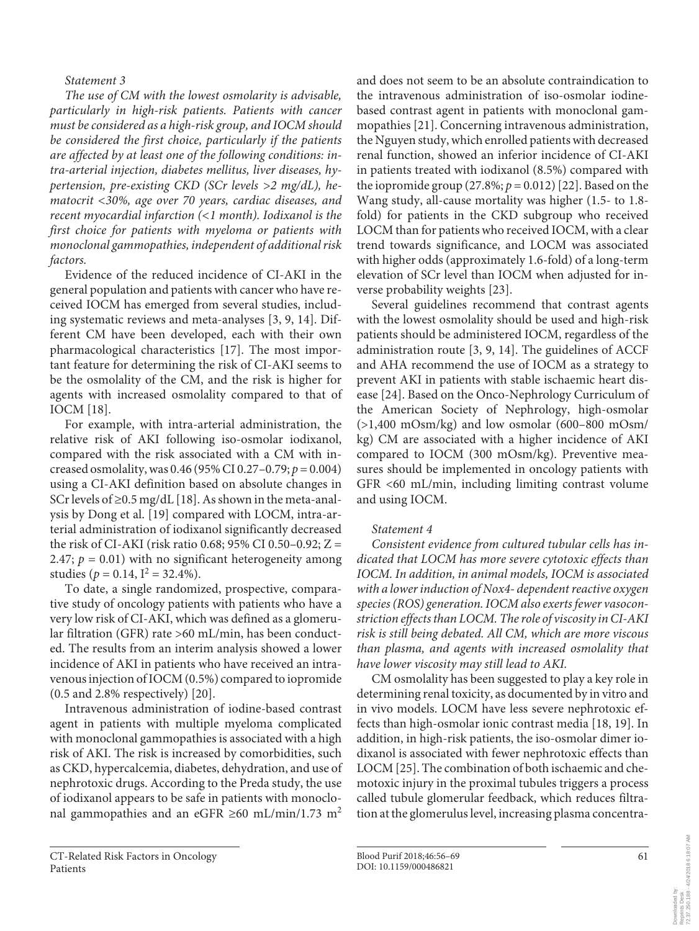# *Statement 3*

*The use of CM with the lowest osmolarity is advisable, particularly in high-risk patients. Patients with cancer must be considered as a high-risk group, and IOCM should be considered the first choice, particularly if the patients are affected by at least one of the following conditions: intra-arterial injection, diabetes mellitus, liver diseases, hypertension, pre-existing CKD (SCr levels >2 mg/dL), hematocrit <30%, age over 70 years, cardiac diseases, and recent myocardial infarction (<1 month). Iodixanol is the first choice for patients with myeloma or patients with monoclonal gammopathies, independent of additional risk factors.*

Evidence of the reduced incidence of CI-AKI in the general population and patients with cancer who have received IOCM has emerged from several studies, including systematic reviews and meta-analyses [3, 9, 14]. Different CM have been developed, each with their own pharmacological characteristics [17]. The most important feature for determining the risk of CI-AKI seems to be the osmolality of the CM, and the risk is higher for agents with increased osmolality compared to that of IOCM [18].

For example, with intra-arterial administration, the relative risk of AKI following iso-osmolar iodixanol, compared with the risk associated with a CM with increased osmolality, was 0.46 (95% CI 0.27–0.79; *p* = 0.004) using a CI-AKI definition based on absolute changes in SCr levels of  $\geq$ 0.5 mg/dL [18]. As shown in the meta-analysis by Dong et al. [19] compared with LOCM, intra-arterial administration of iodixanol significantly decreased the risk of CI-AKI (risk ratio 0.68; 95% CI 0.50–0.92; Z = 2.47;  $p = 0.01$ ) with no significant heterogeneity among studies ( $p = 0.14$ ,  $I^2 = 32.4\%$ ).

To date, a single randomized, prospective, comparative study of oncology patients with patients who have a very low risk of CI-AKI, which was defined as a glomerular filtration (GFR) rate >60 mL/min, has been conducted. The results from an interim analysis showed a lower incidence of AKI in patients who have received an intravenous injection of IOCM (0.5%) compared to iopromide (0.5 and 2.8% respectively) [20].

Intravenous administration of iodine-based contrast agent in patients with multiple myeloma complicated with monoclonal gammopathies is associated with a high risk of AKI. The risk is increased by comorbidities, such as CKD, hypercalcemia, diabetes, dehydration, and use of nephrotoxic drugs. According to the Preda study, the use of iodixanol appears to be safe in patients with monoclonal gammopathies and an eGFR ≥60 mL/min/1.73 m<sup>2</sup>

and does not seem to be an absolute contraindication to the intravenous administration of iso-osmolar iodinebased contrast agent in patients with monoclonal gammopathies [21]. Concerning intravenous administration, the Nguyen study, which enrolled patients with decreased renal function, showed an inferior incidence of CI-AKI in patients treated with iodixanol (8.5%) compared with the iopromide group  $(27.8\%; p = 0.012)$  [22]. Based on the Wang study, all-cause mortality was higher (1.5- to 1.8 fold) for patients in the CKD subgroup who received LOCM than for patients who received IOCM, with a clear trend towards significance, and LOCM was associated with higher odds (approximately 1.6-fold) of a long-term elevation of SCr level than IOCM when adjusted for inverse probability weights [23].

Several guidelines recommend that contrast agents with the lowest osmolality should be used and high-risk patients should be administered IOCM, regardless of the administration route [3, 9, 14]. The guidelines of ACCF and AHA recommend the use of IOCM as a strategy to prevent AKI in patients with stable ischaemic heart disease [24]. Based on the Onco-Nephrology Curriculum of the American Society of Nephrology, high-osmolar  $(>1,400 \text{ mOsm/kg})$  and low osmolar  $(600-800 \text{ mOsm/s})$ kg) CM are associated with a higher incidence of AKI compared to IOCM (300 mOsm/kg). Preventive measures should be implemented in oncology patients with GFR <60 mL/min, including limiting contrast volume and using IOCM.

# *Statement 4*

*Consistent evidence from cultured tubular cells has indicated that LOCM has more severe cytotoxic effects than IOCM. In addition, in animal models, IOCM is associated with a lower induction of Nox4- dependent reactive oxygen species (ROS) generation. IOCM also exerts fewer vasoconstriction effects than LOCM. The role of viscosity in CI-AKI risk is still being debated. All CM, which are more viscous than plasma, and agents with increased osmolality that have lower viscosity may still lead to AKI.*

CM osmolality has been suggested to play a key role in determining renal toxicity, as documented by in vitro and in vivo models. LOCM have less severe nephrotoxic effects than high-osmolar ionic contrast media [18, 19]. In addition, in high-risk patients, the iso-osmolar dimer iodixanol is associated with fewer nephrotoxic effects than LOCM [25]. The combination of both ischaemic and chemotoxic injury in the proximal tubules triggers a process called tubule glomerular feedback, which reduces filtration at the glomerulus level, increasing plasma concentra-

Reprints Desk<br>72.37.250.188 - 4/24/2018 6:18:07 AM 72.37.250.188 - 4/24/2018 6:18:07 AMDownloaded by: Reprints Desk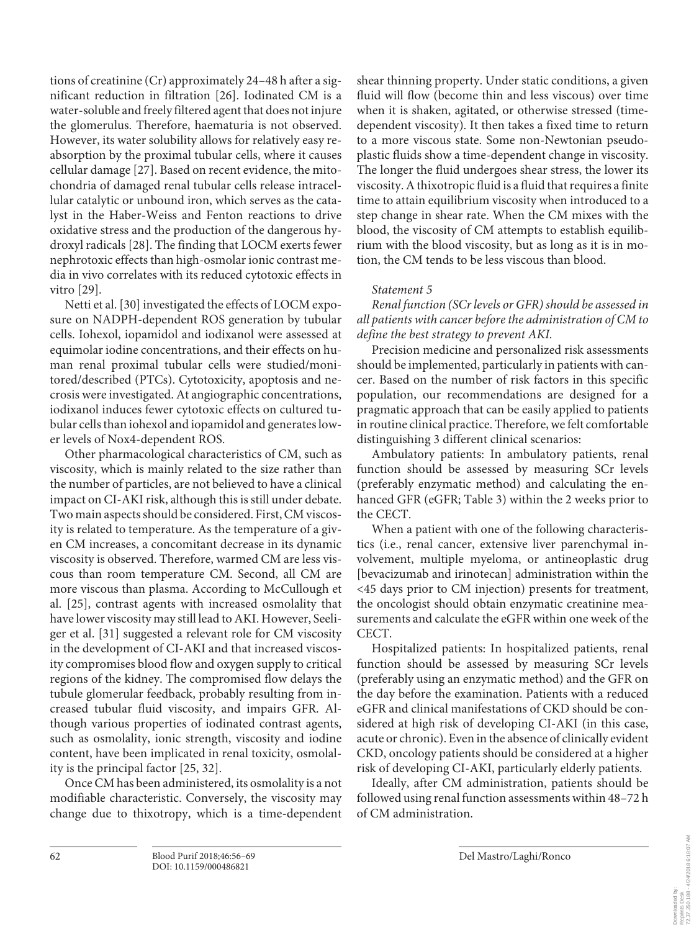tions of creatinine (Cr) approximately 24–48 h after a significant reduction in filtration [26]. Iodinated CM is a water-soluble and freely filtered agent that does not injure the glomerulus. Therefore, haematuria is not observed. However, its water solubility allows for relatively easy reabsorption by the proximal tubular cells, where it causes cellular damage [27]. Based on recent evidence, the mitochondria of damaged renal tubular cells release intracellular catalytic or unbound iron, which serves as the catalyst in the Haber-Weiss and Fenton reactions to drive oxidative stress and the production of the dangerous hydroxyl radicals [28]. The finding that LOCM exerts fewer nephrotoxic effects than high-osmolar ionic contrast media in vivo correlates with its reduced cytotoxic effects in vitro [29].

Netti et al. [30] investigated the effects of LOCM exposure on NADPH-dependent ROS generation by tubular cells. Iohexol, iopamidol and iodixanol were assessed at equimolar iodine concentrations, and their effects on human renal proximal tubular cells were studied/monitored/described (PTCs). Cytotoxicity, apoptosis and necrosis were investigated. At angiographic concentrations, iodixanol induces fewer cytotoxic effects on cultured tubular cells than iohexol and iopamidol and generates lower levels of Nox4-dependent ROS.

Other pharmacological characteristics of CM, such as viscosity, which is mainly related to the size rather than the number of particles, are not believed to have a clinical impact on CI-AKI risk, although this is still under debate. Two main aspects should be considered. First, CM viscosity is related to temperature. As the temperature of a given CM increases, a concomitant decrease in its dynamic viscosity is observed. Therefore, warmed CM are less viscous than room temperature CM. Second, all CM are more viscous than plasma. According to McCullough et al. [25], contrast agents with increased osmolality that have lower viscosity may still lead to AKI. However, Seeliger et al. [31] suggested a relevant role for CM viscosity in the development of CI-AKI and that increased viscosity compromises blood flow and oxygen supply to critical regions of the kidney. The compromised flow delays the tubule glomerular feedback, probably resulting from increased tubular fluid viscosity, and impairs GFR. Although various properties of iodinated contrast agents, such as osmolality, ionic strength, viscosity and iodine content, have been implicated in renal toxicity, osmolality is the principal factor [25, 32].

Once CM has been administered, its osmolality is a not modifiable characteristic. Conversely, the viscosity may change due to thixotropy, which is a time-dependent shear thinning property. Under static conditions, a given fluid will flow (become thin and less viscous) over time when it is shaken, agitated, or otherwise stressed (timedependent viscosity). It then takes a fixed time to return to a more viscous state. Some non-Newtonian pseudoplastic fluids show a time-dependent change in viscosity. The longer the fluid undergoes shear stress, the lower its viscosity. A thixotropic fluid is a fluid that requires a finite time to attain equilibrium viscosity when introduced to a step change in shear rate. When the CM mixes with the blood, the viscosity of CM attempts to establish equilibrium with the blood viscosity, but as long as it is in motion, the CM tends to be less viscous than blood.

# *Statement 5*

*Renal function (SCr levels or GFR) should be assessed in all patients with cancer before the administration of CM to define the best strategy to prevent AKI.*

Precision medicine and personalized risk assessments should be implemented, particularly in patients with cancer. Based on the number of risk factors in this specific population, our recommendations are designed for a pragmatic approach that can be easily applied to patients in routine clinical practice. Therefore, we felt comfortable distinguishing 3 different clinical scenarios:

Ambulatory patients: In ambulatory patients, renal function should be assessed by measuring SCr levels (preferably enzymatic method) and calculating the enhanced GFR (eGFR; Table 3) within the 2 weeks prior to the CECT.

When a patient with one of the following characteristics (i.e., renal cancer, extensive liver parenchymal involvement, multiple myeloma, or antineoplastic drug [bevacizumab and irinotecan] administration within the <45 days prior to CM injection) presents for treatment, the oncologist should obtain enzymatic creatinine measurements and calculate the eGFR within one week of the CECT.

Hospitalized patients: In hospitalized patients, renal function should be assessed by measuring SCr levels (preferably using an enzymatic method) and the GFR on the day before the examination. Patients with a reduced eGFR and clinical manifestations of CKD should be considered at high risk of developing CI-AKI (in this case, acute or chronic). Even in the absence of clinically evident CKD, oncology patients should be considered at a higher risk of developing CI-AKI, particularly elderly patients.

Ideally, after CM administration, patients should be followed using renal function assessments within 48–72 h of CM administration.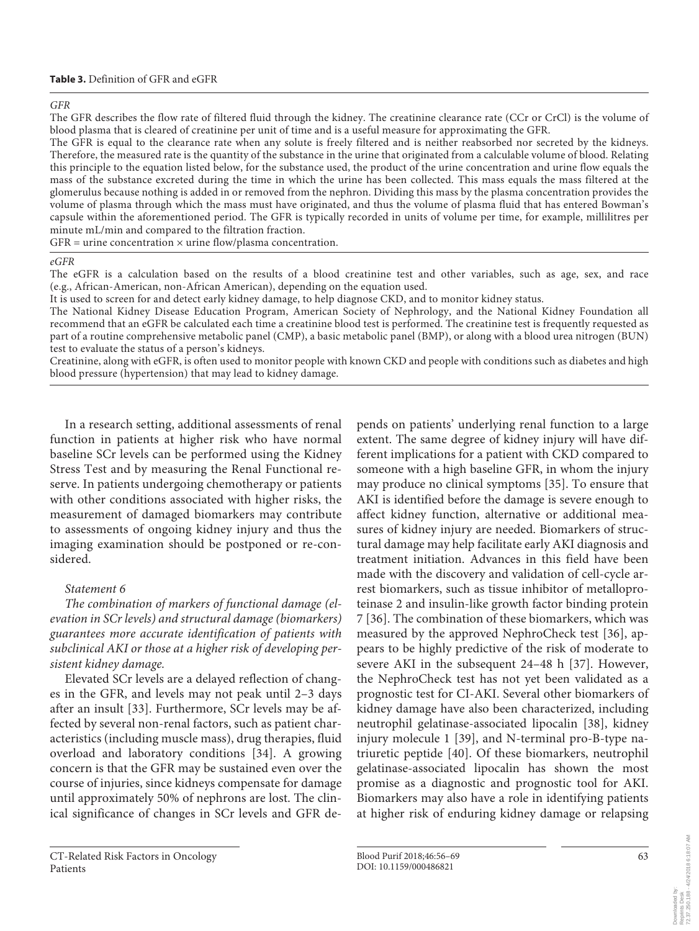## **Table 3.** Definition of GFR and eGFR

#### *GFR*

The GFR describes the flow rate of filtered fluid through the kidney. The creatinine clearance rate (CCr or CrCl) is the volume of blood plasma that is cleared of creatinine per unit of time and is a useful measure for approximating the GFR.

The GFR is equal to the clearance rate when any solute is freely filtered and is neither reabsorbed nor secreted by the kidneys. Therefore, the measured rate is the quantity of the substance in the urine that originated from a calculable volume of blood. Relating this principle to the equation listed below, for the substance used, the product of the urine concentration and urine flow equals the mass of the substance excreted during the time in which the urine has been collected. This mass equals the mass filtered at the glomerulus because nothing is added in or removed from the nephron. Dividing this mass by the plasma concentration provides the volume of plasma through which the mass must have originated, and thus the volume of plasma fluid that has entered Bowman's capsule within the aforementioned period. The GFR is typically recorded in units of volume per time, for example, millilitres per minute mL/min and compared to the filtration fraction.

 $GFR =$  urine concentration  $\times$  urine flow/plasma concentration.

#### *eGFR*

The eGFR is a calculation based on the results of a blood creatinine test and other variables, such as age, sex, and race (e.g., African-American, non-African American), depending on the equation used.

It is used to screen for and detect early kidney damage, to help diagnose CKD, and to monitor kidney status.

The National Kidney Disease Education Program, American Society of Nephrology, and the National Kidney Foundation all recommend that an eGFR be calculated each time a creatinine blood test is performed. The creatinine test is frequently requested as part of a routine comprehensive metabolic panel (CMP), a basic metabolic panel (BMP), or along with a blood urea nitrogen (BUN) test to evaluate the status of a person's kidneys.

Creatinine, along with eGFR, is often used to monitor people with known CKD and people with conditions such as diabetes and high blood pressure (hypertension) that may lead to kidney damage.

In a research setting, additional assessments of renal function in patients at higher risk who have normal baseline SCr levels can be performed using the Kidney Stress Test and by measuring the Renal Functional reserve. In patients undergoing chemotherapy or patients with other conditions associated with higher risks, the measurement of damaged biomarkers may contribute to assessments of ongoing kidney injury and thus the imaging examination should be postponed or re-considered.

## *Statement 6*

*The combination of markers of functional damage (elevation in SCr levels) and structural damage (biomarkers) guarantees more accurate identification of patients with subclinical AKI or those at a higher risk of developing persistent kidney damage.*

Elevated SCr levels are a delayed reflection of changes in the GFR, and levels may not peak until 2–3 days after an insult [33]. Furthermore, SCr levels may be affected by several non-renal factors, such as patient characteristics (including muscle mass), drug therapies, fluid overload and laboratory conditions [34]. A growing concern is that the GFR may be sustained even over the course of injuries, since kidneys compensate for damage until approximately 50% of nephrons are lost. The clinical significance of changes in SCr levels and GFR de-

CT-Related Risk Factors in Oncology

pends on patients' underlying renal function to a large extent. The same degree of kidney injury will have different implications for a patient with CKD compared to someone with a high baseline GFR, in whom the injury may produce no clinical symptoms [35]. To ensure that AKI is identified before the damage is severe enough to affect kidney function, alternative or additional measures of kidney injury are needed. Biomarkers of structural damage may help facilitate early AKI diagnosis and treatment initiation. Advances in this field have been made with the discovery and validation of cell-cycle arrest biomarkers, such as tissue inhibitor of metalloproteinase 2 and insulin-like growth factor binding protein 7 [36]. The combination of these biomarkers, which was measured by the approved NephroCheck test [36], appears to be highly predictive of the risk of moderate to severe AKI in the subsequent 24–48 h [37]. However, the NephroCheck test has not yet been validated as a prognostic test for CI-AKI. Several other biomarkers of kidney damage have also been characterized, including neutrophil gelatinase-associated lipocalin [38], kidney injury molecule 1 [39], and N-terminal pro-B-type natriuretic peptide [40]. Of these biomarkers, neutrophil gelatinase-associated lipocalin has shown the most promise as a diagnostic and prognostic tool for AKI. Biomarkers may also have a role in identifying patients at higher risk of enduring kidney damage or relapsing

Downloaded by: Reprints Desk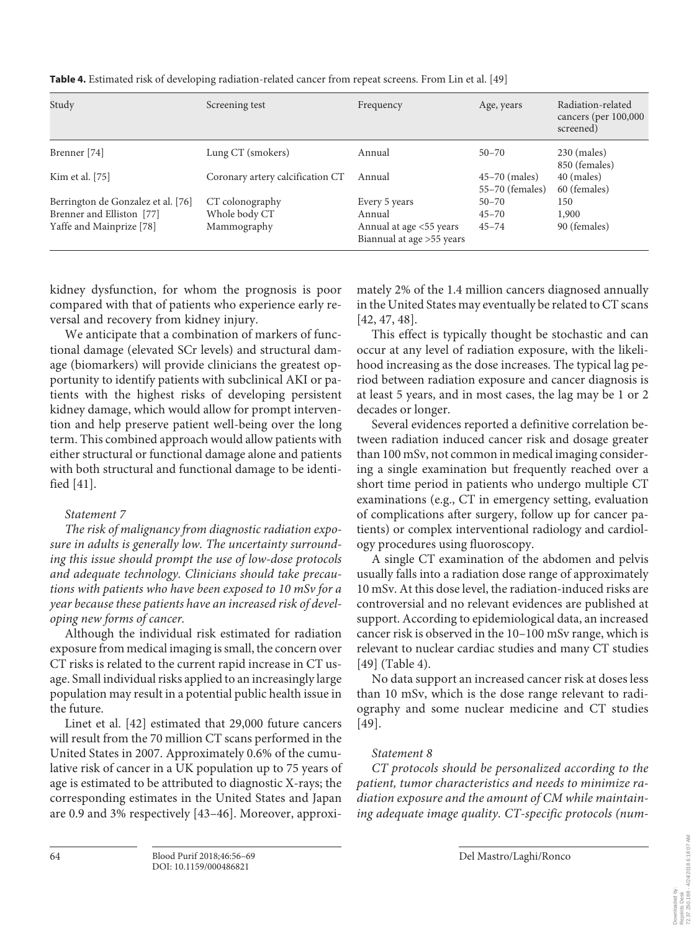**Table 4.** Estimated risk of developing radiation-related cancer from repeat screens. From Lin et al. [49]

| Study                              | Screening test                   | Frequency                                             | Age, years                           | Radiation-related<br>cancers (per $100,000$<br>screened) |
|------------------------------------|----------------------------------|-------------------------------------------------------|--------------------------------------|----------------------------------------------------------|
| Brenner [74]                       | Lung CT (smokers)                | Annual                                                | $50 - 70$                            | $230$ (males)<br>850 (females)                           |
| Kim et al. [75]                    | Coronary artery calcification CT | Annual                                                | $45 - 70$ (males)<br>55-70 (females) | 40 (males)<br>60 (females)                               |
| Berrington de Gonzalez et al. [76] | CT colonography                  | Every 5 years                                         | $50 - 70$                            | 150                                                      |
| Brenner and Elliston [77]          | Whole body CT                    | Annual                                                | $45 - 70$                            | 1,900                                                    |
| Yaffe and Mainprize [78]           | Mammography                      | Annual at age <55 years<br>Biannual at age > 55 years | $45 - 74$                            | 90 (females)                                             |

kidney dysfunction, for whom the prognosis is poor compared with that of patients who experience early reversal and recovery from kidney injury.

We anticipate that a combination of markers of functional damage (elevated SCr levels) and structural damage (biomarkers) will provide clinicians the greatest opportunity to identify patients with subclinical AKI or patients with the highest risks of developing persistent kidney damage, which would allow for prompt intervention and help preserve patient well-being over the long term. This combined approach would allow patients with either structural or functional damage alone and patients with both structural and functional damage to be identified [41].

# *Statement 7*

*The risk of malignancy from diagnostic radiation exposure in adults is generally low. The uncertainty surrounding this issue should prompt the use of low-dose protocols and adequate technology. Clinicians should take precautions with patients who have been exposed to 10 mSv for a year because these patients have an increased risk of developing new forms of cancer.*

Although the individual risk estimated for radiation exposure from medical imaging is small, the concern over CT risks is related to the current rapid increase in CT usage. Small individual risks applied to an increasingly large population may result in a potential public health issue in the future.

Linet et al. [42] estimated that 29,000 future cancers will result from the 70 million CT scans performed in the United States in 2007. Approximately 0.6% of the cumulative risk of cancer in a UK population up to 75 years of age is estimated to be attributed to diagnostic X-rays; the corresponding estimates in the United States and Japan are 0.9 and 3% respectively [43–46]. Moreover, approximately 2% of the 1.4 million cancers diagnosed annually in the United States may eventually be related to CT scans [42, 47, 48].

This effect is typically thought be stochastic and can occur at any level of radiation exposure, with the likelihood increasing as the dose increases. The typical lag period between radiation exposure and cancer diagnosis is at least 5 years, and in most cases, the lag may be 1 or 2 decades or longer.

Several evidences reported a definitive correlation between radiation induced cancer risk and dosage greater than 100 mSv, not common in medical imaging considering a single examination but frequently reached over a short time period in patients who undergo multiple CT examinations (e.g., CT in emergency setting, evaluation of complications after surgery, follow up for cancer patients) or complex interventional radiology and cardiology procedures using fluoroscopy.

A single CT examination of the abdomen and pelvis usually falls into a radiation dose range of approximately 10 mSv. At this dose level, the radiation-induced risks are controversial and no relevant evidences are published at support. According to epidemiological data, an increased cancer risk is observed in the 10–100 mSv range, which is relevant to nuclear cardiac studies and many CT studies [49] (Table 4).

No data support an increased cancer risk at doses less than 10 mSv, which is the dose range relevant to radiography and some nuclear medicine and CT studies [49].

# *Statement 8*

*CT protocols should be personalized according to the patient, tumor characteristics and needs to minimize radiation exposure and the amount of CM while maintaining adequate image quality. CT-specific protocols (num-*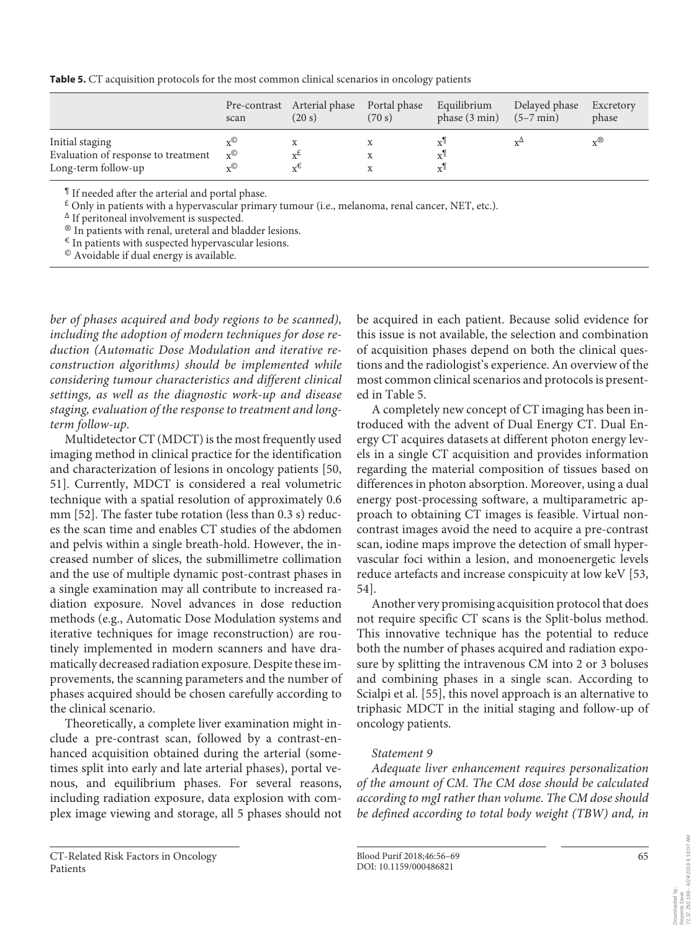|                 | scan                 | (20 s) | (70 s) | phase $(3 \text{ min})$ $(5-7 \text{ min})$ | Pre-contrast Arterial phase Portal phase Equilibrium Delayed phase Ex | ph                          |
|-----------------|----------------------|--------|--------|---------------------------------------------|-----------------------------------------------------------------------|-----------------------------|
| Initial staging | $\mathbf{v}^{\odot}$ |        |        |                                             | $\sqrt{\Delta}$                                                       | $x^{\textcircled{\tiny R}}$ |

**Table 5.** CT acquisition protocols for the most common clinical scenarios in oncology patients

Evaluation of response to treatment  $x^{\odot}$   $x^{\cancel{\epsilon}}$  x  $x^{\frac{1}{\sqrt{\epsilon}}}$  x  $x^{\frac{1}{\sqrt{\epsilon}}}$  x  $x^{\frac{1}{\sqrt{\epsilon}}}$ 

Long-term follow-up  $x^{\mathbb{C}}$   $x^{\infty}$  x

¶ If needed after the arterial and portal phase.

 $<sup>E</sup>$  Only in patients with a hypervascular primary tumour (i.e., melanoma, renal cancer, NET, etc.).</sup>

<sup>∆</sup> If peritoneal involvement is suspected.

® In patients with renal, ureteral and bladder lesions.

 $\epsilon$  In patients with suspected hypervascular lesions.

© Avoidable if dual energy is available.

*ber of phases acquired and body regions to be scanned), including the adoption of modern techniques for dose reduction (Automatic Dose Modulation and iterative reconstruction algorithms) should be implemented while considering tumour characteristics and different clinical settings, as well as the diagnostic work-up and disease staging, evaluation of the response to treatment and longterm follow-up.*

Multidetector CT (MDCT) is the most frequently used imaging method in clinical practice for the identification and characterization of lesions in oncology patients [50, 51]. Currently, MDCT is considered a real volumetric technique with a spatial resolution of approximately 0.6 mm [52]. The faster tube rotation (less than 0.3 s) reduces the scan time and enables CT studies of the abdomen and pelvis within a single breath-hold. However, the increased number of slices, the submillimetre collimation and the use of multiple dynamic post-contrast phases in a single examination may all contribute to increased radiation exposure. Novel advances in dose reduction methods (e.g., Automatic Dose Modulation systems and iterative techniques for image reconstruction) are routinely implemented in modern scanners and have dramatically decreased radiation exposure. Despite these improvements, the scanning parameters and the number of phases acquired should be chosen carefully according to the clinical scenario.

Theoretically, a complete liver examination might include a pre-contrast scan, followed by a contrast-enhanced acquisition obtained during the arterial (sometimes split into early and late arterial phases), portal venous, and equilibrium phases. For several reasons, including radiation exposure, data explosion with complex image viewing and storage, all 5 phases should not be acquired in each patient. Because solid evidence for this issue is not available, the selection and combination of acquisition phases depend on both the clinical questions and the radiologist's experience. An overview of the most common clinical scenarios and protocols is presented in Table 5.

Excretory phase

A completely new concept of CT imaging has been introduced with the advent of Dual Energy CT. Dual Energy CT acquires datasets at different photon energy levels in a single CT acquisition and provides information regarding the material composition of tissues based on differences in photon absorption. Moreover, using a dual energy post-processing software, a multiparametric approach to obtaining CT images is feasible. Virtual noncontrast images avoid the need to acquire a pre-contrast scan, iodine maps improve the detection of small hypervascular foci within a lesion, and monoenergetic levels reduce artefacts and increase conspicuity at low keV [53, 54].

Another very promising acquisition protocol that does not require specific CT scans is the Split-bolus method. This innovative technique has the potential to reduce both the number of phases acquired and radiation exposure by splitting the intravenous CM into 2 or 3 boluses and combining phases in a single scan. According to Scialpi et al. [55], this novel approach is an alternative to triphasic MDCT in the initial staging and follow-up of oncology patients.

# *Statement 9*

*Adequate liver enhancement requires personalization of the amount of CM. The CM dose should be calculated according to mgI rather than volume. The CM dose should be defined according to total body weight (TBW) and, in* 

Downloaded by: Reprints Desk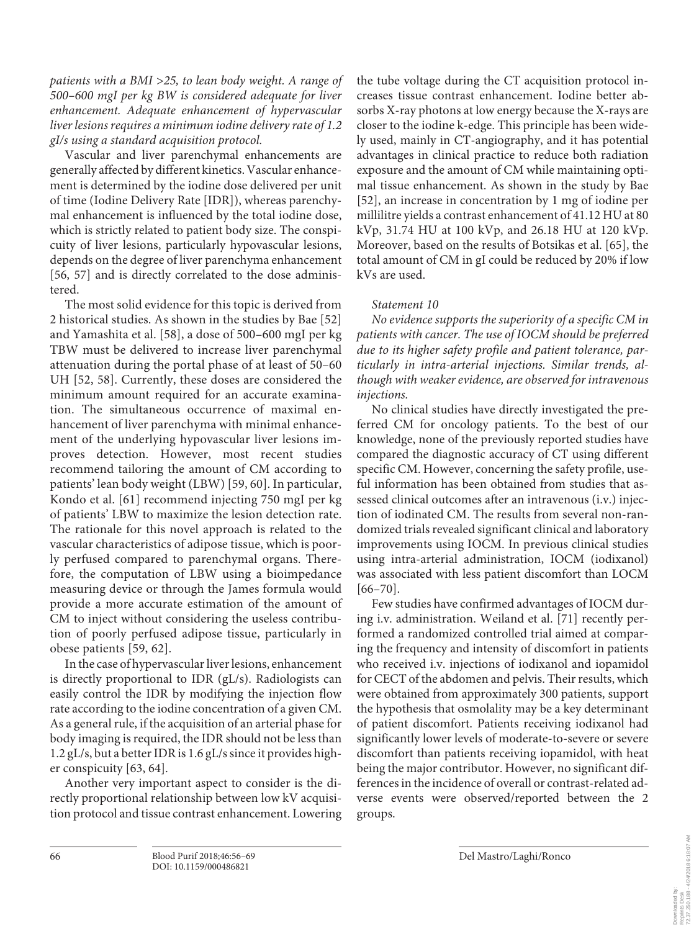*patients with a BMI >25, to lean body weight. A range of 500–600 mgI per kg BW is considered adequate for liver enhancement. Adequate enhancement of hypervascular liver lesions requires a minimum iodine delivery rate of 1.2 gI/s using a standard acquisition protocol.*

Vascular and liver parenchymal enhancements are generally affected by different kinetics. Vascular enhancement is determined by the iodine dose delivered per unit of time (Iodine Delivery Rate [IDR]), whereas parenchymal enhancement is influenced by the total iodine dose, which is strictly related to patient body size. The conspicuity of liver lesions, particularly hypovascular lesions, depends on the degree of liver parenchyma enhancement [56, 57] and is directly correlated to the dose administered.

The most solid evidence for this topic is derived from 2 historical studies. As shown in the studies by Bae [52] and Yamashita et al. [58], a dose of 500–600 mgI per kg TBW must be delivered to increase liver parenchymal attenuation during the portal phase of at least of 50–60 UH [52, 58]. Currently, these doses are considered the minimum amount required for an accurate examination. The simultaneous occurrence of maximal enhancement of liver parenchyma with minimal enhancement of the underlying hypovascular liver lesions improves detection. However, most recent studies recommend tailoring the amount of CM according to patients' lean body weight (LBW) [59, 60]. In particular, Kondo et al. [61] recommend injecting 750 mgI per kg of patients' LBW to maximize the lesion detection rate. The rationale for this novel approach is related to the vascular characteristics of adipose tissue, which is poorly perfused compared to parenchymal organs. Therefore, the computation of LBW using a bioimpedance measuring device or through the James formula would provide a more accurate estimation of the amount of CM to inject without considering the useless contribution of poorly perfused adipose tissue, particularly in obese patients [59, 62].

In the case of hypervascular liver lesions, enhancement is directly proportional to IDR (gL/s). Radiologists can easily control the IDR by modifying the injection flow rate according to the iodine concentration of a given CM. As a general rule, if the acquisition of an arterial phase for body imaging is required, the IDR should not be less than 1.2 gL/s, but a better IDR is 1.6 gL/s since it provides higher conspicuity [63, 64].

Another very important aspect to consider is the directly proportional relationship between low kV acquisition protocol and tissue contrast enhancement. Lowering the tube voltage during the CT acquisition protocol increases tissue contrast enhancement. Iodine better absorbs X-ray photons at low energy because the X-rays are closer to the iodine k-edge. This principle has been widely used, mainly in CT-angiography, and it has potential advantages in clinical practice to reduce both radiation exposure and the amount of CM while maintaining optimal tissue enhancement. As shown in the study by Bae [52], an increase in concentration by 1 mg of iodine per millilitre yields a contrast enhancement of 41.12 HU at 80 kVp, 31.74 HU at 100 kVp, and 26.18 HU at 120 kVp. Moreover, based on the results of Botsikas et al. [65], the total amount of CM in gI could be reduced by 20% if low kVs are used.

# *Statement 10*

*No evidence supports the superiority of a specific CM in patients with cancer. The use of IOCM should be preferred due to its higher safety profile and patient tolerance, particularly in intra-arterial injections. Similar trends, although with weaker evidence, are observed for intravenous injections.*

No clinical studies have directly investigated the preferred CM for oncology patients. To the best of our knowledge, none of the previously reported studies have compared the diagnostic accuracy of CT using different specific CM. However, concerning the safety profile, useful information has been obtained from studies that assessed clinical outcomes after an intravenous (i.v.) injection of iodinated CM. The results from several non-randomized trials revealed significant clinical and laboratory improvements using IOCM. In previous clinical studies using intra-arterial administration, IOCM (iodixanol) was associated with less patient discomfort than LOCM  $[66 - 70]$ .

Few studies have confirmed advantages of IOCM during i.v. administration. Weiland et al. [71] recently performed a randomized controlled trial aimed at comparing the frequency and intensity of discomfort in patients who received i.v. injections of iodixanol and iopamidol for CECT of the abdomen and pelvis. Their results, which were obtained from approximately 300 patients, support the hypothesis that osmolality may be a key determinant of patient discomfort. Patients receiving iodixanol had significantly lower levels of moderate-to-severe or severe discomfort than patients receiving iopamidol, with heat being the major contributor. However, no significant differences in the incidence of overall or contrast-related adverse events were observed/reported between the 2 groups.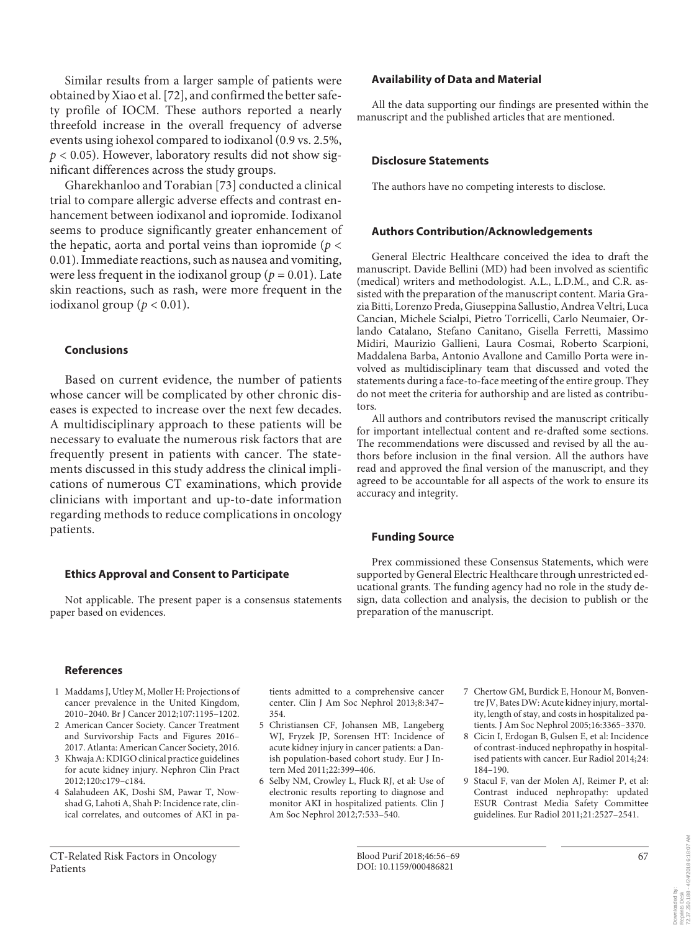Similar results from a larger sample of patients were obtained by Xiao et al. [72], and confirmed the better safety profile of IOCM. These authors reported a nearly threefold increase in the overall frequency of adverse events using iohexol compared to iodixanol (0.9 vs. 2.5%,  $p < 0.05$ ). However, laboratory results did not show significant differences across the study groups.

Gharekhanloo and Torabian [73] conducted a clinical trial to compare allergic adverse effects and contrast enhancement between iodixanol and iopromide. Iodixanol seems to produce significantly greater enhancement of the hepatic, aorta and portal veins than iopromide ( $p <$ 0.01). Immediate reactions, such as nausea and vomiting, were less frequent in the iodixanol group ( $p = 0.01$ ). Late skin reactions, such as rash, were more frequent in the iodixanol group ( $p < 0.01$ ).

## **Conclusions**

Based on current evidence, the number of patients whose cancer will be complicated by other chronic diseases is expected to increase over the next few decades. A multidisciplinary approach to these patients will be necessary to evaluate the numerous risk factors that are frequently present in patients with cancer. The statements discussed in this study address the clinical implications of numerous CT examinations, which provide clinicians with important and up-to-date information regarding methods to reduce complications in oncology patients.

## **Ethics Approval and Consent to Participate**

Not applicable. The present paper is a consensus statements paper based on evidences.

## **Availability of Data and Material**

All the data supporting our findings are presented within the manuscript and the published articles that are mentioned.

## **Disclosure Statements**

The authors have no competing interests to disclose.

## **Authors Contribution/Acknowledgements**

General Electric Healthcare conceived the idea to draft the manuscript. Davide Bellini (MD) had been involved as scientific (medical) writers and methodologist. A.L., L.D.M., and C.R. assisted with the preparation of the manuscript content. Maria Grazia Bitti, Lorenzo Preda, Giuseppina Sallustio, Andrea Veltri, Luca Cancian, Michele Scialpi, Pietro Torricelli, Carlo Neumaier, Orlando Catalano, Stefano Canitano, Gisella Ferretti, Massimo Midiri, Maurizio Gallieni, Laura Cosmai, Roberto Scarpioni, Maddalena Barba, Antonio Avallone and Camillo Porta were involved as multidisciplinary team that discussed and voted the statements during a face-to-face meeting of the entire group. They do not meet the criteria for authorship and are listed as contributors.

All authors and contributors revised the manuscript critically for important intellectual content and re-drafted some sections. The recommendations were discussed and revised by all the authors before inclusion in the final version. All the authors have read and approved the final version of the manuscript, and they agreed to be accountable for all aspects of the work to ensure its accuracy and integrity.

### **Funding Source**

Prex commissioned these Consensus Statements, which were supported by General Electric Healthcare through unrestricted educational grants. The funding agency had no role in the study design, data collection and analysis, the decision to publish or the preparation of the manuscript.

#### **References**

- 1 Maddams J, Utley M, Moller H: Projections of cancer prevalence in the United Kingdom, 2010–2040. Br J Cancer 2012;107:1195–1202.
- 2 American Cancer Society. Cancer Treatment and Survivorship Facts and Figures 2016– 2017. Atlanta: American Cancer Society, 2016.
- 3 Khwaja A: KDIGO clinical practice guidelines for acute kidney injury. Nephron Clin Pract 2012;120:c179–c184.
- 4 Salahudeen AK, Doshi SM, Pawar T, Nowshad G, Lahoti A, Shah P: Incidence rate, clinical correlates, and outcomes of AKI in pa-

tients admitted to a comprehensive cancer center. Clin J Am Soc Nephrol 2013;8:347– 354.

- 5 Christiansen CF, Johansen MB, Langeberg WJ, Fryzek JP, Sorensen HT: Incidence of acute kidney injury in cancer patients: a Danish population-based cohort study. Eur J Intern Med 2011;22:399–406.
- 6 Selby NM, Crowley L, Fluck RJ, et al: Use of electronic results reporting to diagnose and monitor AKI in hospitalized patients. Clin J Am Soc Nephrol 2012;7:533–540.
- 7 Chertow GM, Burdick E, Honour M, Bonventre JV, Bates DW: Acute kidney injury, mortality, length of stay, and costs in hospitalized patients. J Am Soc Nephrol 2005;16:3365–3370.
- 8 Cicin I, Erdogan B, Gulsen E, et al: Incidence of contrast-induced nephropathy in hospitalised patients with cancer. Eur Radiol 2014;24: 184–190.
- 9 Stacul F, van der Molen AJ, Reimer P, et al: Contrast induced nephropathy: updated ESUR Contrast Media Safety Committee guidelines. Eur Radiol 2011;21:2527–2541.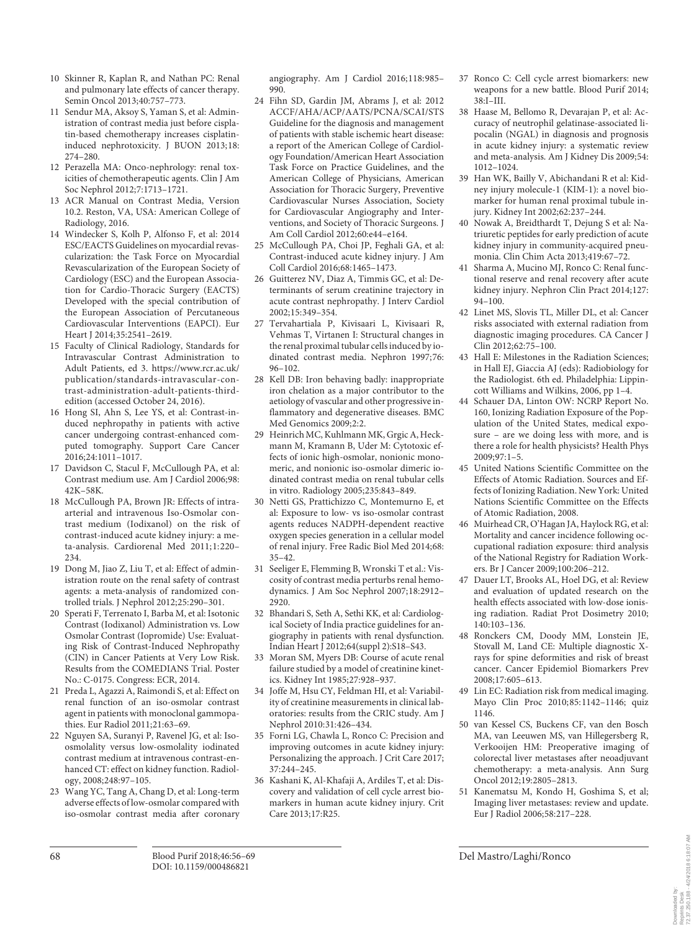- 10 Skinner R, Kaplan R, and Nathan PC: Renal and pulmonary late effects of cancer therapy. Semin Oncol 2013;40:757–773.
- 11 Sendur MA, Aksoy S, Yaman S, et al: Administration of contrast media just before cisplatin-based chemotherapy increases cisplatininduced nephrotoxicity. J BUON 2013;18: 274–280.
- 12 Perazella MA: Onco-nephrology: renal toxicities of chemotherapeutic agents. Clin J Am Soc Nephrol 2012;7:1713–1721.
- 13 ACR Manual on Contrast Media, Version 10.2. Reston, VA, USA: American College of Radiology, 2016.
- 14 Windecker S, Kolh P, Alfonso F, et al: 2014 ESC/EACTS Guidelines on myocardial revascularization: the Task Force on Myocardial Revascularization of the European Society of Cardiology (ESC) and the European Association for Cardio-Thoracic Surgery (EACTS) Developed with the special contribution of the European Association of Percutaneous Cardiovascular Interventions (EAPCI). Eur Heart J 2014;35:2541–2619.
- 15 Faculty of Clinical Radiology, Standards for Intravascular Contrast Administration to Adult Patients, ed 3. https://www.rcr.ac.uk/ publication/standards-intravascular-contrast-administration-adult-patients-thirdedition (accessed October 24, 2016).
- 16 Hong SI, Ahn S, Lee YS, et al: Contrast-induced nephropathy in patients with active cancer undergoing contrast-enhanced computed tomography. Support Care Cancer 2016;24:1011–1017.
- 17 Davidson C, Stacul F, McCullough PA, et al: Contrast medium use. Am J Cardiol 2006;98: 42K–58K.
- 18 McCullough PA, Brown JR: Effects of intraarterial and intravenous Iso-Osmolar contrast medium (Iodixanol) on the risk of contrast-induced acute kidney injury: a meta-analysis. Cardiorenal Med 2011;1:220– 234.
- 19 Dong M, Jiao Z, Liu T, et al: Effect of administration route on the renal safety of contrast agents: a meta-analysis of randomized controlled trials. J Nephrol 2012;25:290–301.
- 20 Sperati F, Terrenato I, Barba M, et al: Isotonic Contrast (Iodixanol) Administration vs. Low Osmolar Contrast (Iopromide) Use: Evaluating Risk of Contrast-Induced Nephropathy (CIN) in Cancer Patients at Very Low Risk. Results from the COMEDIANS Trial. Poster No.: C-0175. Congress: ECR, 2014.
- 21 Preda L, Agazzi A, Raimondi S, et al: Effect on renal function of an iso-osmolar contrast agent in patients with monoclonal gammopathies. Eur Radiol 2011;21:63–69.
- 22 Nguyen SA, Suranyi P, Ravenel JG, et al: Isoosmolality versus low-osmolality iodinated contrast medium at intravenous contrast-enhanced CT: effect on kidney function. Radiology, 2008;248:97–105.
- 23 Wang YC, Tang A, Chang D, et al: Long-term adverse effects of low-osmolar compared with iso-osmolar contrast media after coronary

angiography. Am J Cardiol 2016;118:985– 990.

- 24 Fihn SD, Gardin JM, Abrams J, et al: 2012 ACCF/AHA/ACP/AATS/PCNA/SCAI/STS Guideline for the diagnosis and management of patients with stable ischemic heart disease: a report of the American College of Cardiology Foundation/American Heart Association Task Force on Practice Guidelines, and the American College of Physicians, American Association for Thoracic Surgery, Preventive Cardiovascular Nurses Association, Society for Cardiovascular Angiography and Interventions, and Society of Thoracic Surgeons. J Am Coll Cardiol 2012;60:e44–e164.
- 25 McCullough PA, Choi JP, Feghali GA, et al: Contrast-induced acute kidney injury. J Am Coll Cardiol 2016;68:1465–1473.
- 26 Guitterez NV, Diaz A, Timmis GC, et al: Determinants of serum creatinine trajectory in acute contrast nephropathy. J Interv Cardiol 2002;15:349–354.
- 27 Tervahartiala P, Kivisaari L, Kivisaari R, Vehmas T, Virtanen I: Structural changes in the renal proximal tubular cells induced by iodinated contrast media. Nephron 1997;76: 96–102.
- 28 Kell DB: Iron behaving badly: inappropriate iron chelation as a major contributor to the aetiology of vascular and other progressive inflammatory and degenerative diseases. BMC Med Genomics 2009;2:2.
- 29 Heinrich MC, Kuhlmann MK, Grgic A, Heckmann M, Kramann B, Uder M: Cytotoxic effects of ionic high-osmolar, nonionic monomeric, and nonionic iso-osmolar dimeric iodinated contrast media on renal tubular cells in vitro. Radiology 2005;235:843–849.
- 30 Netti GS, Prattichizzo C, Montemurno E, et al: Exposure to low- vs iso-osmolar contrast agents reduces NADPH-dependent reactive oxygen species generation in a cellular model of renal injury. Free Radic Biol Med 2014;68: 35–42.
- 31 Seeliger E, Flemming B, Wronski T et al.: Viscosity of contrast media perturbs renal hemodynamics. J Am Soc Nephrol 2007;18:2912– 2920.
- 32 Bhandari S, Seth A, Sethi KK, et al: Cardiological Society of India practice guidelines for angiography in patients with renal dysfunction. Indian Heart J 2012;64(suppl 2):S18–S43.
- 33 Moran SM, Myers DB: Course of acute renal failure studied by a model of creatinine kinetics. Kidney Int 1985;27:928–937.
- 34 Joffe M, Hsu CY, Feldman HI, et al: Variability of creatinine measurements in clinical laboratories: results from the CRIC study. Am J Nephrol 2010:31:426–434.
- 35 Forni LG, Chawla L, Ronco C: Precision and improving outcomes in acute kidney injury: Personalizing the approach. J Crit Care 2017; 37:244–245.
- 36 Kashani K, Al-Khafaji A, Ardiles T, et al: Discovery and validation of cell cycle arrest biomarkers in human acute kidney injury. Crit Care 2013;17:R25.
- 37 Ronco C: Cell cycle arrest biomarkers: new weapons for a new battle. Blood Purif 2014;  $38 \cdot I - III$
- 38 Haase M, Bellomo R, Devarajan P, et al: Accuracy of neutrophil gelatinase-associated lipocalin (NGAL) in diagnosis and prognosis in acute kidney injury: a systematic review and meta-analysis. Am J Kidney Dis 2009;54: 1012–1024.
- 39 Han WK, Bailly V, Abichandani R et al: Kidney injury molecule-1 (KIM-1): a novel biomarker for human renal proximal tubule injury. Kidney Int 2002;62:237–244.
- 40 Nowak A, Breidthardt T, Dejung S et al: Natriuretic peptides for early prediction of acute kidney injury in community-acquired pneumonia. Clin Chim Acta 2013;419:67–72.
- 41 Sharma A, Mucino MJ, Ronco C: Renal functional reserve and renal recovery after acute kidney injury. Nephron Clin Pract 2014;127:  $94 - 100$
- 42 Linet MS, Slovis TL, Miller DL, et al: Cancer risks associated with external radiation from diagnostic imaging procedures. CA Cancer J Clin 2012;62:75–100.
- 43 Hall E: Milestones in the Radiation Sciences; in Hall EJ, Giaccia AJ (eds): Radiobiology for the Radiologist. 6th ed. Philadelphia: Lippincott Williams and Wilkins, 2006, pp 1–4.
- 44 Schauer DA, Linton OW: NCRP Report No. 160, Ionizing Radiation Exposure of the Population of the United States, medical exposure - are we doing less with more, and is there a role for health physicists? Health Phys  $2009:97:1-5$ .
- 45 United Nations Scientific Committee on the Effects of Atomic Radiation. Sources and Effects of Ionizing Radiation. New York: United Nations Scientific Committee on the Effects of Atomic Radiation, 2008.
- 46 Muirhead CR, O'Hagan JA, Haylock RG, et al: Mortality and cancer incidence following occupational radiation exposure: third analysis of the National Registry for Radiation Workers. Br J Cancer 2009;100:206–212.
- 47 Dauer LT, Brooks AL, Hoel DG, et al: Review and evaluation of updated research on the health effects associated with low-dose ionising radiation. Radiat Prot Dosimetry 2010; 140:103–136.
- 48 Ronckers CM, Doody MM, Lonstein JE, Stovall M, Land CE: Multiple diagnostic Xrays for spine deformities and risk of breast cancer. Cancer Epidemiol Biomarkers Prev 2008;17:605–613.
- 49 Lin EC: Radiation risk from medical imaging. Mayo Clin Proc 2010;85:1142–1146; quiz 1146.
- 50 van Kessel CS, Buckens CF, van den Bosch MA, van Leeuwen MS, van Hillegersberg R, Verkooijen HM: Preoperative imaging of colorectal liver metastases after neoadjuvant chemotherapy: a meta-analysis. Ann Surg Oncol 2012;19:2805–2813.
- 51 Kanematsu M, Kondo H, Goshima S, et al; Imaging liver metastases: review and update. Eur J Radiol 2006;58:217–228.